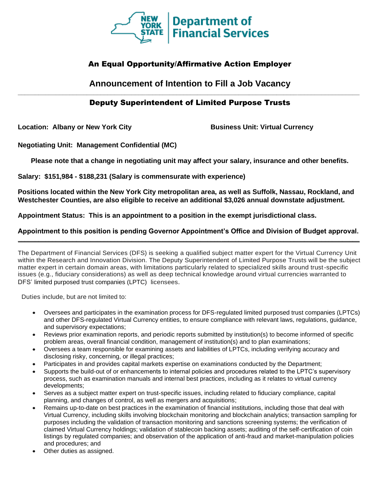

# An Equal Opportunity/Affirmative Action Employer

### **Announcement of Intention to Fill a Job Vacancy \_\_\_\_\_\_\_\_\_\_\_\_\_\_\_\_\_\_\_\_\_\_\_\_\_\_\_\_\_\_\_\_\_\_\_\_\_\_\_\_\_\_\_\_\_\_\_\_\_\_\_\_\_\_\_\_\_\_\_\_\_\_\_\_\_\_\_\_\_\_\_\_\_\_\_\_\_\_\_\_\_\_\_\_\_\_\_\_\_\_\_\_\_\_\_\_\_\_\_**

## Deputy Superintendent of Limited Purpose Trusts

**Location: Albany or New York City Business Unit: Virtual Currency**

**Negotiating Unit: Management Confidential (MC)**

**Please note that a change in negotiating unit may affect your salary, insurance and other benefits.**

**Salary: \$151,984 - \$188,231 (Salary is commensurate with experience)**

**Positions located within the New York City metropolitan area, as well as Suffolk, Nassau, Rockland, and Westchester Counties, are also eligible to receive an additional \$3,026 annual downstate adjustment.**

**Appointment Status: This is an appointment to a position in the exempt jurisdictional class.**

#### **Appointment to this position is pending Governor Appointment's Office and Division of Budget approval. \_\_\_\_\_\_\_\_\_\_\_\_\_\_\_\_\_\_\_\_\_\_\_\_\_\_\_\_\_\_\_\_\_\_\_\_\_\_\_\_\_\_\_\_\_\_\_\_\_\_\_\_\_\_\_\_\_\_\_\_\_\_\_\_\_\_\_\_\_\_\_\_\_\_\_\_\_\_\_\_\_\_\_\_\_\_\_\_\_\_\_\_\_\_\_\_\_\_\_**

The Department of Financial Services (DFS) is seeking a qualified subject matter expert for the Virtual Currency Unit within the Research and Innovation Division. The Deputy Superintendent of Limited Purpose Trusts will be the subject matter expert in certain domain areas, with limitations particularly related to specialized skills around trust-specific issues (e.g., fiduciary considerations) as well as deep technical knowledge around virtual currencies warranted to DFS' limited purposed trust companies (LPTC) licensees.

Duties include, but are not limited to:

- Oversees and participates in the examination process for DFS-regulated limited purposed trust companies (LPTCs) and other DFS-regulated Virtual Currency entities, to ensure compliance with relevant laws, regulations, guidance, and supervisory expectations;
- Reviews prior examination reports, and periodic reports submitted by institution(s) to become informed of specific problem areas, overall financial condition, management of institution(s) and to plan examinations;
- Oversees a team responsible for examining assets and liabilities of LPTCs, including verifying accuracy and disclosing risky, concerning, or illegal practices;
- Participates in and provides capital markets expertise on examinations conducted by the Department;
- Supports the build-out of or enhancements to internal policies and procedures related to the LPTC's supervisory process, such as examination manuals and internal best practices, including as it relates to virtual currency developments;
- Serves as a subject matter expert on trust-specific issues, including related to fiduciary compliance, capital planning, and changes of control, as well as mergers and acquisitions;
- Remains up-to-date on best practices in the examination of financial institutions, including those that deal with Virtual Currency, including skills involving blockchain monitoring and blockchain analytics; transaction sampling for purposes including the validation of transaction monitoring and sanctions screening systems; the verification of claimed Virtual Currency holdings; validation of stablecoin backing assets; auditing of the self-certification of coin listings by regulated companies; and observation of the application of anti-fraud and market-manipulation policies and procedures; and
- Other duties as assigned.